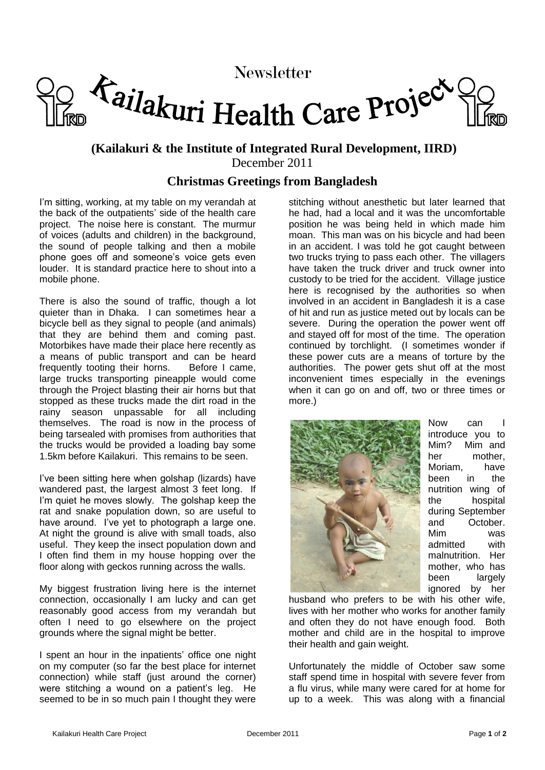## Newsletter<br>Tailakuri Health Care Project

## **(Kailakuri & the Institute of Integrated Rural Development, IIRD)** December 2011

## **Christmas Greetings from Bangladesh**

I'm sitting, working, at my table on my verandah at the back of the outpatients' side of the health care project. The noise here is constant. The murmur of voices (adults and children) in the background, the sound of people talking and then a mobile phone goes off and someone's voice gets even louder. It is standard practice here to shout into a mobile phone.

There is also the sound of traffic, though a lot quieter than in Dhaka. I can sometimes hear a bicycle bell as they signal to people (and animals) that they are behind them and coming past. Motorbikes have made their place here recently as a means of public transport and can be heard frequently tooting their horns. Before I came, large trucks transporting pineapple would come through the Project blasting their air horns but that stopped as these trucks made the dirt road in the rainy season unpassable for all including themselves. The road is now in the process of being tarsealed with promises from authorities that the trucks would be provided a loading bay some 1.5km before Kailakuri. This remains to be seen.

I've been sitting here when golshap (lizards) have wandered past, the largest almost 3 feet long. If I'm quiet he moves slowly. The golshap keep the rat and snake population down, so are useful to have around. I've yet to photograph a large one. At night the ground is alive with small toads, also useful. They keep the insect population down and I often find them in my house hopping over the floor along with geckos running across the walls.

My biggest frustration living here is the internet connection, occasionally I am lucky and can get reasonably good access from my verandah but often I need to go elsewhere on the project grounds where the signal might be better.

I spent an hour in the inpatients' office one night on my computer (so far the best place for internet connection) while staff (just around the corner) were stitching a wound on a patient's leg. He seemed to be in so much pain I thought they were

stitching without anesthetic but later learned that he had, had a local and it was the uncomfortable position he was being held in which made him moan. This man was on his bicycle and had been in an accident. I was told he got caught between two trucks trying to pass each other. The villagers have taken the truck driver and truck owner into custody to be tried for the accident. Village justice here is recognised by the authorities so when involved in an accident in Bangladesh it is a case of hit and run as justice meted out by locals can be severe. During the operation the power went off and stayed off for most of the time. The operation continued by torchlight. (I sometimes wonder if these power cuts are a means of torture by the authorities. The power gets shut off at the most inconvenient times especially in the evenings when it can go on and off, two or three times or more.)



Now can I introduce you to Mim? Mim and her mother, Moriam, have been in the nutrition wing of the hospital during September and October. Mim was admitted with malnutrition. Her mother, who has been largely ignored by her

husband who prefers to be with his other wife, lives with her mother who works for another family and often they do not have enough food. Both mother and child are in the hospital to improve their health and gain weight.

Unfortunately the middle of October saw some staff spend time in hospital with severe fever from a flu virus, while many were cared for at home for up to a week. This was along with a financial